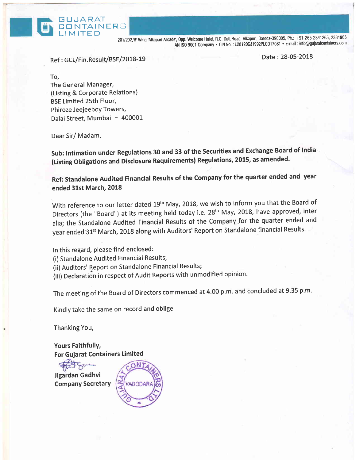

Ref : GCL/Fin.Result/BSE/2018-19

**GNTAINERS** 

G UJARAT

Date : 28-05-2018

To, The General Manager, (Listing & Corporate Relations) BSE Limited 25th Floor, Phiroze Jeejeeboy Towers, Dalal Street, Mumbai - 400001

Dear Sir/ Madam,

Sub: Intimation under Regulations 30 and 33 of the Securities and Exchange Board of India (Listing obligations and Disclosure Requirements) Regulations, 2015, as amended.

Ref: Standalone Audlted Financial Results of the Company for the quarter ended and year ended 31st March, 2018

With reference to our letter dated 19<sup>th</sup> May, 2018, we wish to inform you that the Board of Directors (the "Board") at its meeting held today i.e. 28<sup>th</sup> May, 2018, have approved, inter alia; the Standalone Audited Financial Results of the Company for the quarter ended and year ended 31<sup>st</sup> March, 2018 along with Auditors' Report on Standalone financial Results.

In this regard, please find enclosed:

(i) Standalone Audited Financial Results;

(ii) Auditors' Report on Standalone Financial Results;

(iii) Declaration in respect of Audit Reports with unmodified opinion.

The meeting of the Board of Directors commenced at 4.00 p.m. and concluded at 9.35 p.m.

Kindly take the same on record and oblige.

Thanking You,

Yours FaithfullY, For Guiarat Containers Limited

Jigardan Gadhvi Company SecretarY

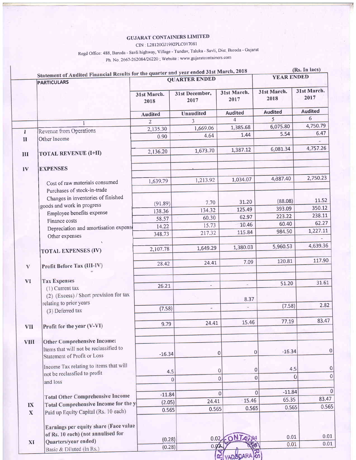### **GUJARAT CONTAINERS LIMITED**

CIN: L28120GJ1992PLC017081

Regd Office: 488, Baroda - Savli highway, Village - Tundav, Taluka - Savli, Dist, Baroda - Gujarat Ph. No. 2667-262084/26220; Website: www.gujaratcontainers.com

|                   | <b>PARTICULARS</b>                                                          | Statement of Audited Financial Results for the quarter and year ended 31st March, 2018<br><b>QUARTER ENDED</b> |                        |                                  | (Rs. In lacs)<br><b>YEAR ENDED</b> |                     |
|-------------------|-----------------------------------------------------------------------------|----------------------------------------------------------------------------------------------------------------|------------------------|----------------------------------|------------------------------------|---------------------|
|                   |                                                                             | 31st March.<br>2018                                                                                            | 31st December,<br>2017 | 31st March.<br>2017              | 31st March.<br>2018                | 31st March.<br>2017 |
|                   |                                                                             | <b>Audited</b>                                                                                                 | <b>Unaudited</b>       | <b>Audited</b>                   | <b>Audited</b>                     | <b>Audited</b>      |
|                   |                                                                             | $\overline{2}$                                                                                                 | 3                      | $\overline{4}$                   | $\overline{\mathcal{L}}$           | 6                   |
|                   |                                                                             | 2,135.30                                                                                                       | 1,669.06               | 1,385.68                         | 6,075.80                           | 4,750.79            |
| I                 | <b>Revenue from Operations</b>                                              | 0.90                                                                                                           | 4.64                   | 1.44                             | 5.54                               | 6.47                |
| $\mathbf{I}$      | Other Income                                                                |                                                                                                                |                        |                                  |                                    |                     |
| III               | <b>TOTAL REVENUE (I+II)</b>                                                 | 2,136.20                                                                                                       | 1,673.70               | 1,387.12                         | 6,081.34                           | 4,757.26            |
| IV                | <b>EXPENSES</b>                                                             |                                                                                                                |                        |                                  |                                    |                     |
|                   | Cost of raw materials consumed                                              | 1,639.79                                                                                                       | 1,213.92               | 1,034.07                         | 4,387.40                           | 2,750.23            |
|                   | Purchases of stock-in-trade                                                 |                                                                                                                |                        |                                  |                                    |                     |
|                   | Changes in inventories of finished                                          |                                                                                                                |                        | 31.20                            | (88.08)                            | 11.52               |
|                   | goods and work in progress                                                  | (91.89)                                                                                                        | 7.70                   | 125.49                           | 393.09                             | 350.12              |
|                   | Employee benefits expense                                                   | 138.36                                                                                                         | 134.32<br>60.30        | 62.97                            | 223.22                             | 238.11              |
|                   | Finance costs                                                               | 58.57                                                                                                          | 15.73                  | 10.46                            | 60.40                              | 62.27               |
|                   | Depreciation and amortisation expense                                       | 14.22                                                                                                          | 217.32                 | 115.84                           | 984.50                             | 1,227.11            |
|                   | Other expenses                                                              | 348.73                                                                                                         |                        |                                  |                                    |                     |
|                   | <b>TOTAL EXPENSES (IV)</b>                                                  | 2,107.78                                                                                                       | 1,649.29               | 1,380.03                         | 5,960.53                           | 4,639.36            |
| V                 | Profit Before Tax (III-IV)                                                  | 28.42                                                                                                          | 24.41                  | 7.09                             | 120.81                             | 117.90              |
|                   |                                                                             |                                                                                                                |                        |                                  |                                    |                     |
| <b>VI</b>         | <b>Tax Expenses</b>                                                         |                                                                                                                | Ш                      | $\sim$                           | 51.20                              | 31.61               |
|                   | (1) Current tax                                                             | 26.21                                                                                                          |                        |                                  |                                    |                     |
|                   | (2) (Excess) / Short provision for tax                                      |                                                                                                                |                        | 8.37                             |                                    |                     |
|                   | relating to prior years                                                     | (7.58)                                                                                                         |                        |                                  | (7.58)                             | 2.82                |
|                   | (3) Deferred tax                                                            |                                                                                                                |                        |                                  |                                    |                     |
| <b>VII</b>        | Profit for the year (V-VI)                                                  | 9.79                                                                                                           | 24.41                  | 15.46                            | 77.19                              | 83.47               |
| <b>VIII</b>       | Other Comprehensive Income:                                                 |                                                                                                                |                        |                                  |                                    |                     |
|                   | Items that will not be reclassified to<br>Statement of Profit or Loss       | $-16.34$                                                                                                       |                        | 0<br>$\overline{0}$              | $-16.34$                           |                     |
|                   | Income Tax relating to items that will                                      | 4.5                                                                                                            |                        | 0<br>$\sigma$                    | 4.5                                |                     |
|                   | not be reclassfied to profit                                                |                                                                                                                | $\overline{0}$         | $\overline{0}$<br>$\overline{0}$ |                                    | $\mathbf{0}$        |
|                   | and loss                                                                    |                                                                                                                |                        |                                  |                                    |                     |
|                   | <b>Total Other Comprehensive Income</b>                                     | $-11.84$                                                                                                       |                        | $\overline{0}$                   | $-11.84$<br>$\Omega$               |                     |
|                   | Total Comprehensive Income for the y                                        | (2.05)                                                                                                         | 24.41                  | 15.46                            | 65.35                              | 83.47               |
| IX<br>$\mathbf X$ | Paid up Equity Capital (Rs. 10 each)                                        | 0.565                                                                                                          | 0.565                  | 0.565                            | 0.565                              | 0.56                |
|                   |                                                                             |                                                                                                                |                        |                                  |                                    |                     |
|                   | Earnings per equity share (Face value<br>of Rs. 10 each) (not annulised for |                                                                                                                |                        |                                  |                                    |                     |
|                   | Quarters/year ended)                                                        | (0.28)                                                                                                         | 0.02                   | ONT                              | 0.01                               | 0.01                |
| XI                | Basic & Diluted (in Rs.)                                                    | (0.28)                                                                                                         | 0.02                   |                                  | 0.01                               | 0.01                |
|                   |                                                                             |                                                                                                                |                        |                                  |                                    |                     |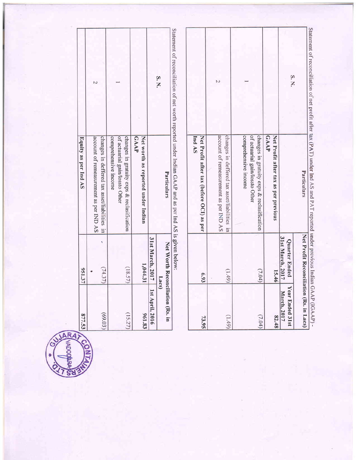| (15.27)                        | (18.57)                                 | changes in gratuity exps & reclasification<br>of actuarial gain/lossto Other<br>comprehensive income  |                                                                                                               |
|--------------------------------|-----------------------------------------|-------------------------------------------------------------------------------------------------------|---------------------------------------------------------------------------------------------------------------|
| 961.83                         | 1,044.31                                | Net worth as reported under Indian<br>GAAP                                                            |                                                                                                               |
| 1st April, 2016                | 31st March, 2017                        |                                                                                                       |                                                                                                               |
|                                | 2s                                      |                                                                                                       | S. N.                                                                                                         |
|                                | Net Worth Reconciliation (Rs. in        | Particulars                                                                                           |                                                                                                               |
|                                |                                         | Statement of reconciliation of net worth reported under Indian GAAP and as per Ind AS is given below: |                                                                                                               |
| 73.95                          | 6.93                                    | Net Profit after tax (before OCI) as per<br>Ind AS                                                    |                                                                                                               |
| (1.49)                         | (6t)                                    | account of remeasurement as per IND AS<br>changes in deffered tax asset/liabilities in                | N                                                                                                             |
| (7.04)                         | (7.04)                                  | of actuarial gain/lossto Other<br>changes in gratuity exps & reclasification<br>comprehensive income  |                                                                                                               |
| 82.48                          | 15.46                                   | Net Profit after tax as per previous<br>GAAP                                                          |                                                                                                               |
| Year Ended 31st<br>March, 2017 | 31st March, 2017<br>Quarter Ended       |                                                                                                       | S.N.                                                                                                          |
|                                | Net Profit Reconciliation (Rs. in Lacs) | Particulars                                                                                           |                                                                                                               |
| GAAP (IGAAP)-                  |                                         |                                                                                                       | Statement of reconciliation of net profit after tax (PAT) under Ind AS and PAT reported under previous Indian |

|                      |                                                                                        |                                                                                                      |                                                   | S.N.                                                                            |
|----------------------|----------------------------------------------------------------------------------------|------------------------------------------------------------------------------------------------------|---------------------------------------------------|---------------------------------------------------------------------------------|
| Equity as per Ind AS | account of remeasurement as per IND AS<br>changes in deffered tax asset/liabilities in | of actuarial gain/lossto Other<br>comprehensive income<br>changes in gratuity exps & reclasification | <b>GAAP</b><br>Net worth as reported under Indian | Particulars                                                                     |
| 951.37               | (74.37)                                                                                | (18.57)                                                                                              | 1,044.31                                          | 31st March, 2017   1st April, 2016<br>Net Worth Reconciliation (Rs. in<br>Lacs) |
| 877.53               | (69.03)                                                                                | (15.27)                                                                                              | 961.83                                            |                                                                                 |

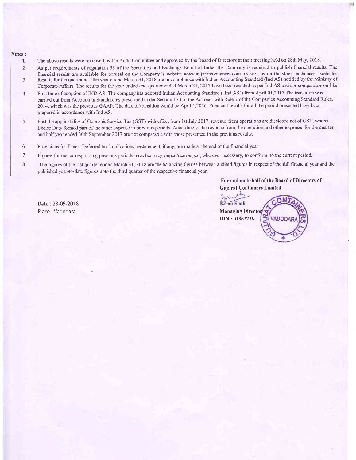# $\sqrt{\frac{N^2}{1}}$

- The above results were reviewed by the Audit Committee and approved by the Board of Directors at their meeting held on 28th May, 2018.
- As per requirements of regulation 33 of the Securities and Exchange Board of India, the Company is required to publish financial results. The 2 financial results are available for perusal on the Companv's website www.guiaratcontainers.com as well as on the stock exchanges' websites Results for the quarter and the year ended March 31, 2018 are in compliance with Indian Accounting Standard (Ind AS) notified by the Ministry of  $\overline{3}$ Corporate Affairs. The results for the year ended and quarter ended March 31, 2017 have been restated as per Ind AS and are comparable on like
- First time of adoption of IND AS: The company has adopted Indian Accounting Standard ("Ind AS") from April 0l,20l7,The transition was  $\overline{4}$ carried out from Accounting Standard as prescribed under Section 133 of the Act read with Rule 7 of the Companies Accounting Standard Rules, 2014, which was the previous GAAP. The date of transition would be April 1,2016. Financial results for all the period presented have been prepared in accordance with Ind AS.
- 5 Post the applicability of Goods & Service Tax (GST) with effect from 1st July 2017, revenue from operations are disclosed net of GST, whereas Excise Duty formed part of the other expense in previous periods. Accordingly, the revenue from the operation and other expenses for the quarter and halfyear ended 30th September 2017 are not comparable with those presented in the previous results.
- Provisions for Taxes, Deferred tax implications, restatement. if any, are made at the end of the financial year 6
- Figwes for the corresponding previous periods have been regrouped/rearranged, wherever necessary, to conform to the current period. 7
- The figures of the last quarter ended March 31, 2018 are the balancing figures between audited figures in respect of the full financial year and the published year-to-date figures upto the third quarter of the respective financial year. 8

#### For and on behalf of the Board of Directors of Gujarat Containers Limited



Date : 28-05-2018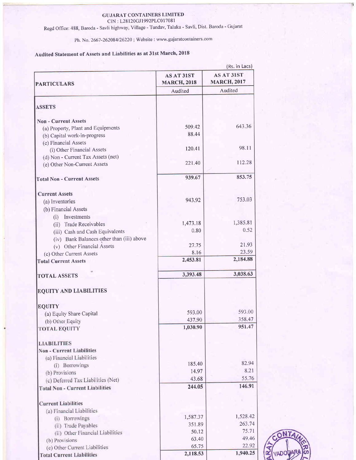### GUJARAT CONTAINERS LIMITED

CIN : L28l20GJl992PLC01708l

Regd Office: 488, Baroda - Savli highrvay, Village - Tundav, Taluka - Savli, Dist. Baroda - Gujarat

Ph. No. 2667-262084/26220; Website: www.gujaratcontainers.com

## Audited Statement of Assets and Liabilities as at 31st March, 2018

|                                                                    | (Rs. in <b>L</b> acs)<br>AS AT 31ST<br><b>AS AT 31ST</b> |                    |  |
|--------------------------------------------------------------------|----------------------------------------------------------|--------------------|--|
| <b>PARTICULARS</b>                                                 | <b>MARCH, 2018</b>                                       | <b>MARCH, 2017</b> |  |
|                                                                    | Audited                                                  | Audited            |  |
| <b>ASSETS</b>                                                      |                                                          |                    |  |
|                                                                    |                                                          |                    |  |
| <b>Non - Current Assets</b>                                        |                                                          |                    |  |
| (a) Property, Plant and Equipments                                 | 509.42                                                   | 643.36             |  |
| (b) Capital work-in-progress                                       | 88.44                                                    |                    |  |
| (c) Financial Assets                                               | 120.41                                                   | 98.11              |  |
| (i) Other Financial Assets                                         |                                                          |                    |  |
| (d) Non - Current Tax Assets (net)<br>(e) Other Non-Current Assets | 221.40                                                   | 112.28             |  |
|                                                                    |                                                          |                    |  |
| <b>Total Non - Current Assets</b>                                  | 939.67                                                   | 853.75             |  |
| <b>Current Assets</b>                                              |                                                          |                    |  |
| (a) Inventories                                                    | 943.92                                                   | 753.03             |  |
| (b) Financial Assets                                               |                                                          |                    |  |
| Investments<br>(i)                                                 |                                                          |                    |  |
| (ii) Trade Receivables                                             | 1,473.18                                                 | 1,385.81           |  |
| (iii) Cash and Cash Equivalents                                    | 0.80                                                     | 0.52               |  |
| (iv) Bank Balances other than (iii) above                          |                                                          |                    |  |
| (v) Other Financial Assets                                         | 27.75                                                    | 21.93              |  |
| (c) Other Current Assets                                           | 8.16                                                     | 23.59              |  |
| <b>Total Current Assets</b>                                        | 2,453.81                                                 | 2,184.88           |  |
| <b>TOTAL ASSETS</b>                                                | 3,393.48                                                 | 3,038.63           |  |
| <b>EQUITY AND LIABILITIES</b>                                      |                                                          |                    |  |
|                                                                    |                                                          |                    |  |
| <b>EQUITY</b>                                                      |                                                          |                    |  |
| (a) Equity Share Capital                                           | 593.00                                                   | 593.00             |  |
| (b) Other Equity                                                   | 437.90                                                   | 358.47             |  |
| <b>TOTAL EQUITY</b>                                                | 1,030.90                                                 | 951.47             |  |
| <b>LIABILITIES</b>                                                 |                                                          |                    |  |
| <b>Non - Current Liabilities</b>                                   |                                                          |                    |  |
| (a) Financial Liabilities                                          |                                                          |                    |  |
| (i) Borrowings                                                     | 185.40                                                   | 82.94              |  |
| (b) Provisions                                                     | 14.97                                                    | 8.21               |  |
| (c) Deferred Tax Liabilities (Net)                                 | 43.68                                                    | 55.76              |  |
| <b>Total Non - Current Liabilities</b>                             | 244.05                                                   | 146.91             |  |
| <b>Current Liabilities</b>                                         |                                                          |                    |  |
| (a) Financial Liabilities                                          |                                                          |                    |  |
| (i) Borrowings                                                     | 1,587.37                                                 | 1,528.42           |  |
| (ii) Trade Payables                                                | 351.89                                                   | 263.74             |  |
| (ii) Other Financial Liabilities                                   | 50.12                                                    | 75.71              |  |
| (b) Provisions                                                     | 63.40                                                    | 49.46              |  |
| (c) Other Current Liabilities                                      | 65.75                                                    | 22.92              |  |
| <b>Total Current Liabilities</b>                                   | 2,118.53                                                 | 1,940.25           |  |

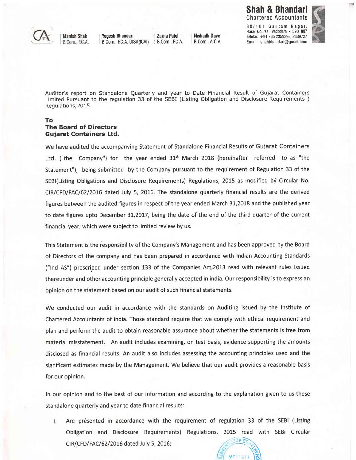### Shah & Bhandari Chartered Accountants



**Manish Shah** B.Com., F.C.A.

B.Com., F.C.A. DISA(ICAI)

Yogesh Bhandari **i Zarna Patel : Nishadh Dave**<br>B.Com., E.C.A. DISA(ICAI) : B.Com., E.C.A. : B.Com., A.C.A.

38/101 Gautam Nagar, Race course, Vadodara - 390 <sup>007</sup> Telefax: +91 265 2359398,2339727 Email: shahbhandari@gmail.com



 $\ddot{\phantom{1}}$ 

Auditor's report on Standalone Quarterly and year to Date Financial Result of Gujarat Containers Limited Pursuant to the regulation 33 of the SEBI (Listing Obligation and Disclosure Requirements ) Regulations, 2015

### To The Board of Directors Gujarat Containers Ltd.

We have audited the accompanying Statement of Standalone Financial Results of Gujarat Containers Ltd. ("the Company") for the year ended  $31<sup>st</sup>$  March 2018 (hereinafter referred to as "the Statement"), being submitted by the Company pursuant to the requirement of Regulation 33 of the SEBI(Listing Obligations and Disclosure Requirements) Regulations, 2015 as modified by Circular No. CIR/CFD/FAC/62/20I6 dated July 5, 2076. The standalone quarterly financial results are the derived figures between the audited figures in respect of the year ended March 3L,2Ot8 and the published year to date figures upto December 31,2017, being the date of the end of the third quarter of the current financial year, which were subject to limited review by us.

This Statement is the responsibility of the Company's Management and has been approved by the Board of Directors of the company and has been prepared in accordance with Indian Accounting Standards ("lnd AS") prescribed under section 133 of the Companies Act,2013 read with relevant rules issued thereunder and other accounting principle generally accepted in india. Our responsibility is to express an opinion on the statement based on our audit of such financial statements.

We conducted our audit in accordance with the standards on Auditing issued by the Institute of Chartered Accountants of india. Those standard require that we comply with ethical requirement and plan and perform the audit to obtain reasonable assurance about whether the statements is free from material misstatement. An audit includes examining, on test basis, evidence supporting the amounts disclosed as financial results. An audit also includes assessing the accounting principles used and the significant estimates made by the Management. We believe that our audit provides a reasonable basis for our opinion.

In our opinion and to the best of our information and according to the explanation given to us these standalone quarterly and year to date financial results:

i. Are presented in accordance with the requirement of regulation 33 of the SEBI (Listing Obligation and Disclosure Requirements) Regulations, 2OL5 read with SEBi Circular CIR/CFD/FAC/62/2016 dated July 5, 2016;  $\sqrt{\frac{200 \times 0.00000}{n}}$ 

 $M$ 700011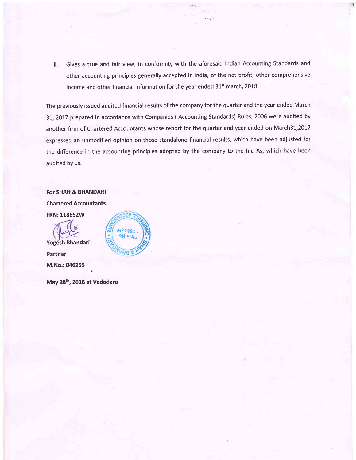ii. Gives a true and fair view, in conformity with the aforesaid Indian Accounting Standards and other accounting principles generally accepted in india, of the net profit, other comprehensive income and other financial information for the year ended 31<sup>st</sup> march, 2018

 $\sim$ 

The previously issued audited financial results of the company for the quarter and the year ended March 31, 2017 prepared in accordance with Companies (Accounting Standards) Rules, 2006 were audited by another firm of Chartered Accountants whose report for the quarter and year ended on March3L,2017 expressed an unmodified opinion on those standalone financial results, which have been adjusted for the difference in the accounting principles adopted by the company to the Ind As, which have been audited by us.

For SHAH & BHANDARI Chartered Accountants **FRN: 118852W** 

Yogesh Bhandari Partner M.No.:045255



May 28th, 2018 at vadodara